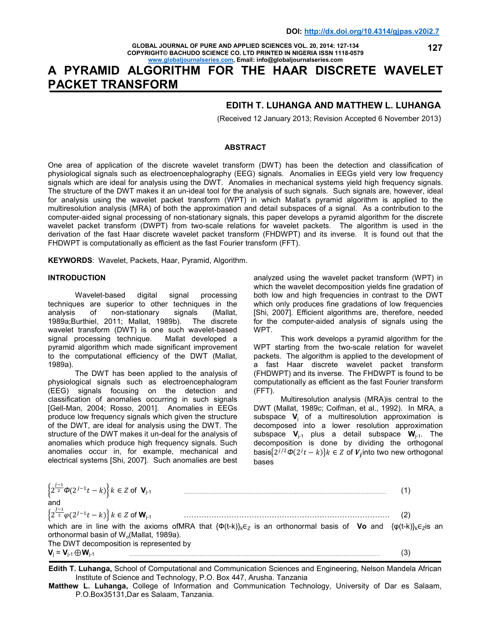**GLOBAL JOURNAL OF PURE AND APPLIED SCIENCES VOL. 20, 2014: 127-134 COPYRIGHT© BACHUDO SCIENCE CO. LTD PRINTED IN NIGERIA ISSN 1118-0579 www.globaljournalseries.com, Email: info@globaljournalseries.com**

**A PYRAMID ALGORITHM FOR THE HAAR DISCRETE WAVELET PACKET TRANSFORM** 

# **EDITH T. LUHANGA AND MATTHEW L. LUHANGA**

(Received 12 January 2013; Revision Accepted 6 November 2013)

#### **ABSTRACT**

One area of application of the discrete wavelet transform (DWT) has been the detection and classification of physiological signals such as electroencephalography (EEG) signals. Anomalies in EEGs yield very low frequency signals which are ideal for analysis using the DWT. Anomalies in mechanical systems yield high frequency signals. The structure of the DWT makes it an un-ideal tool for the analysis of such signals. Such signals are, however, ideal for analysis using the wavelet packet transform (WPT) in which Mallat's pyramid algorithm is applied to the multiresolution analysis (MRA) of both the approximation and detail subspaces of a signal. As a contribution to the computer-aided signal processing of non-stationary signals, this paper develops a pyramid algorithm for the discrete wavelet packet transform (DWPT) from two-scale relations for wavelet packets. The algorithm is used in the derivation of the fast Haar discrete wavelet packet transform (FHDWPT) and its inverse. It is found out that the FHDWPT is computationally as efficient as the fast Fourier transform (FFT).

**KEYWORDS**: Wavelet, Packets, Haar, Pyramid, Algorithm.

### **INTRODUCTION**

Wavelet-based digital signal processing techniques are superior to other techniques in the analysis of non-stationary signals (Mallat, 1989a;Burthiel, 2011; Mallat, 1989b). The discrete wavelet transform (DWT) is one such wavelet-based signal processing technique. Mallat developed a pyramid algorithm which made significant improvement to the computational efficiency of the DWT (Mallat, 1989a).

The DWT has been applied to the analysis of physiological signals such as electroencephalogram (EEG) signals focusing on the detection and classification of anomalies occurring in such signals [Gell-Man, 2004; Rosso, 2001]. Anomalies in EEGs produce low frequency signals which given the structure of the DWT, are ideal for analysis using the DWT. The structure of the DWT makes it un-deal for the analysis of anomalies which produce high frequency signals. Such anomalies occur in, for example, mechanical and electrical systems [Shi, 2007]. Such anomalies are best analyzed using the wavelet packet transform (WPT) in which the wavelet decomposition yields fine gradation of both low and high frequencies in contrast to the DWT which only produces fine gradations of low frequencies [Shi, 2007]. Efficient algorithms are, therefore, needed for the computer-aided analysis of signals using the WPT.

This work develops a pyramid algorithm for the WPT starting from the two-scale relation for wavelet packets. The algorithm is applied to the development of a fast Haar discrete wavelet packet transform (FHDWPT) and its inverse. The FHDWPT is found to be computationally as efficient as the fast Fourier transform (FFT).

Multiresolution analysis (MRA)is central to the DWT (Mallat, 1989c; Coifman, et al., 1992). In MRA, a subspace **V**<sup>j</sup> of a multiresolution approximation is decomposed into a lower resolution approximation subspace **V**j-1 plus a detail subspace **W**j-1. The decomposition is done by dividing the orthogonal basis $\{2^{j/2}\Phi(2^jt - k)\}$  $k \in \mathbb{Z}$  of  $\boldsymbol{V}_j$ into two new orthogonal bases

| $\left\{2^{\frac{j-1}{2}}\Phi(2^{j-1}t-k)\right\}k\in\mathbb{Z}$ of $\mathbf{V}_{j-1}$                                                                      |  |
|-------------------------------------------------------------------------------------------------------------------------------------------------------------|--|
| and                                                                                                                                                         |  |
| $\left\{2^{\frac{J-1}{2}}\varphi(2^{J-1}t-k)\right\}k\in\mathbb{Z}$ of $\mathbf{W}_{j-1}$                                                                   |  |
| which are in line with the axioms of MRA that $\{\Phi(t-k)\}_{k\in\mathbb{Z}}$ is an orthonormal basis of <b>Vo</b> and $\{\phi(t-k)\}_{k\in\mathbb{Z}}$ an |  |
| orthonormal basin of W <sub>o</sub> (Mallat, 1989a).                                                                                                        |  |
| The DWT decomposition is represented by                                                                                                                     |  |
| $V_i = V_{i-1} \oplus W_{i-1}$                                                                                                                              |  |

**Edith T. Luhanga,** School of Computational and Communication Sciences and Engineering, Nelson Mandela African Institute of Science and Technology, P.O. Box 447, Arusha. Tanzania

**Matthew L. Luhanga,** College of Information and Communication Technology, University of Dar es Salaam, P.O.Box35131,Dar es Salaam, Tanzania.

**127**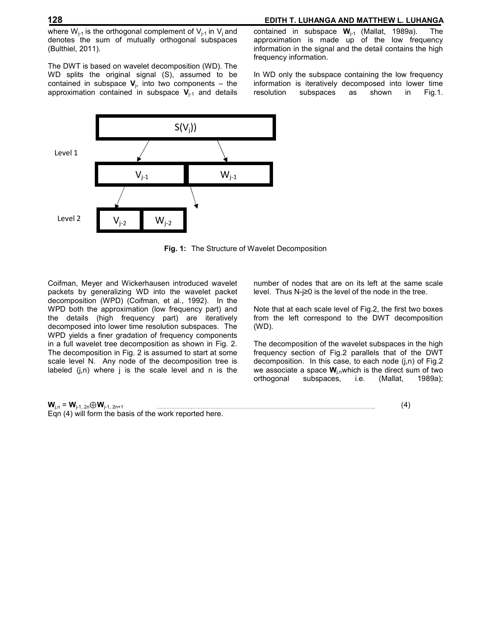where  $W_{i-1}$  is the orthogonal complement of  $V_{i-1}$  in  $V_i$  and denotes the sum of mutually orthogonal subspaces (Bulthiel, 2011).

The DWT is based on wavelet decomposition (WD). The WD splits the original signal (S), assumed to be contained in subspace **V**<sup>j</sup> , into two components – the approximation contained in subspace  $V_{j-1}$  and details

contained in subspace **W**j-1 (Mallat, 1989a). The approximation is made up of the low frequency information in the signal and the detail contains the high frequency information.

In WD only the subspace containing the low frequency information is iteratively decomposed into lower time resolution subspaces as shown in Fig.1.



**Fig. 1:** The Structure of Wavelet Decomposition

Coifman, Meyer and Wickerhausen introduced wavelet packets by generalizing WD into the wavelet packet decomposition (WPD) (Coifman, et al., 1992). In the WPD both the approximation (low frequency part) and the details (high frequency part) are iteratively decomposed into lower time resolution subspaces. The WPD yields a finer gradation of frequency components in a full wavelet tree decomposition as shown in Fig. 2. The decomposition in Fig. 2 is assumed to start at some scale level N. Any node of the decomposition tree is labeled  $(i, n)$  where  $j$  is the scale level and n is the

number of nodes that are on its left at the same scale level. Thus N-j≥0 is the level of the node in the tree.

Note that at each scale level of Fig.2, the first two boxes from the left correspond to the DWT decomposition (WD).

The decomposition of the wavelet subspaces in the high frequency section of Fig.2 parallels that of the DWT decomposition. In this case, to each node (j,n) of Fig.2 we associate a space **W**<sub>j,n</sub>which is the direct sum of two orthogonal subspaces, i.e. (Mallat, 1989a); subspaces,

**W**j,n = **W**j-1, 2n⊕**W**j-1, 2n+1 AAAAAAAAAAAAAAAAAAAAAAAAAAAAAAAAAAAAAAAAAAAA.. (4) Eqn (4) will form the basis of the work reported here.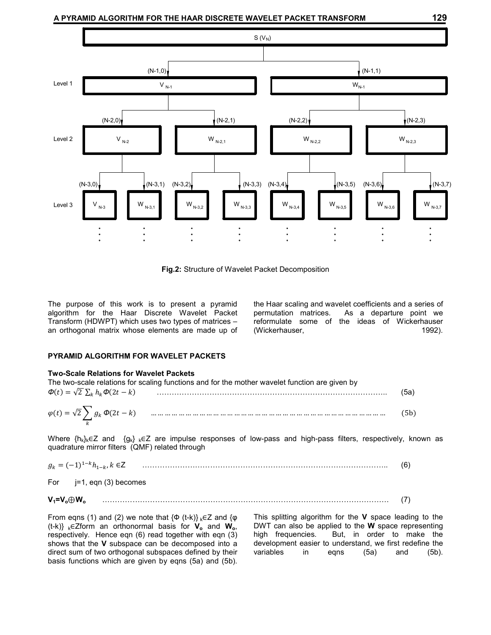## **A PYRAMID ALGORITHM FOR THE HAAR DISCRETE WAVELET PACKET TRANSFORM 129**



**Fig.2:** Structure of Wavelet Packet Decomposition

The purpose of this work is to present a pyramid algorithm for the Haar Discrete Wavelet Packet Transform (HDWPT) which uses two types of matrices – an orthogonal matrix whose elements are made up of

the Haar scaling and wavelet coefficients and a series of permutation matrices. As a departure point we reformulate some of the ideas of Wickerhauser (Wickerhauser, 1992).

## **PYRAMID ALGORITHM FOR WAVELET PACKETS**

#### **Two-Scale Relations for Wavelet Packets**

The two-scale relations for scaling functions and for the mother wavelet function are given by  $\Phi(t) = \sqrt{2} \sum_k h_k \Phi(2t - k)$  # AAAAAAAAAAAAAAAAAAAAAAAAAAAAAA.. (5a) = 2\$ %# *Ф*2 − … … … … … … … … … … … … … … … … … … … … … … … … … … … … … … … … … …5b  $(5b)$ 

Where  $\{h_k\}_k \in Z$  and  $\{g_k\}_k \in Z$  are impulse responses of low-pass and high-pass filters, respectively, known as quadrature mirror filters (QMF) related through

| --<br>Уk |  |  |
|----------|--|--|
|----------|--|--|

For j=1, eqn (3) becomes

 $\boldsymbol{k}$ 

| ∆W∖<br>$V_4 = V$ |  |  |
|------------------|--|--|
|                  |  |  |

From eqns (1) and (2) we note that  $\{\Phi$  (t-k)} <sub>k</sub>∈Z and  $\{\phi$ (t-k)} k∈Zform an orthonormal basis for **Vo** and **Wo**, respectively. Hence eqn (6) read together with eqn (3) shows that the **V** subspace can be decomposed into a direct sum of two orthogonal subspaces defined by their basis functions which are given by eqns (5a) and (5b). This splitting algorithm for the **V** space leading to the DWT can also be applied to the **W** space representing high frequencies. But, in order to make the development easier to understand, we first redefine the variables in eqns (5a) and (5b).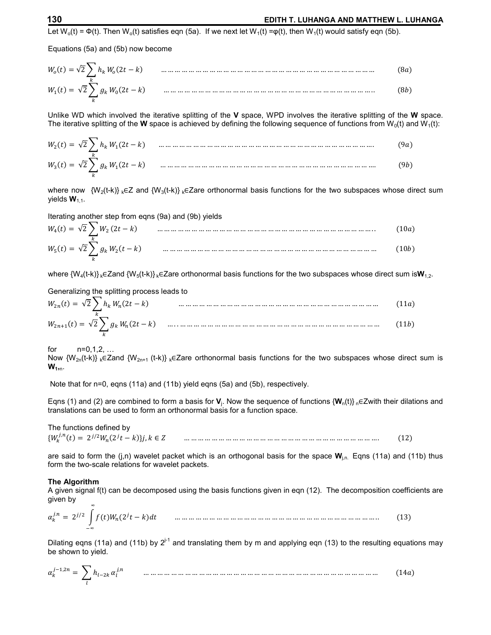Let  $W_0(t) = \Phi(t)$ . Then  $W_0(t)$  satisfies eqn (5a). If we next let  $W_1(t) = \phi(t)$ , then  $W_1(t)$  would satisfy eqn (5b).

Equations (5a) and (5b) now become

+, = 2\$ ℎ# # +, 2 − … … … … … … … … … … … … … … … … … … … … … … … … … … … … … … …8. + = 2\$ %# # +/ 2 − … … … … … … … … … … … … … … … … … … … … … … … … … … … … … … ..81

Unlike WD which involved the iterative splitting of the **V** space, WPD involves the iterative splitting of the **W** space. The iterative splitting of the **W** space is achieved by defining the following sequence of functions from  $W_0(t)$  and  $W_1(t)$ :

+ = 2\$ ℎ# # + 2 − … … … … … … … … … … … … … … … … … … … … … … … … … … … … … … ….9. +<sup>3</sup> = 2\$ %# # + 2 − … … … … … … … … … … … … … … … … … … … … … … … … … … … … … … ….91

where now  $\{W_2(t-k)\}\,_{k} \in \mathbb{Z}$  and  $\{W_3(t-k)\}\,_{k} \in \mathbb{Z}$ are orthonormal basis functions for the two subspaces whose direct sum yields  $W_{1,1}$ .

Iterating another step from eqns (9a) and (9b) yields

+<sup>4</sup> = 2\$ + # 2 − … … … … … … … … … … … … … … … … … … … … … … … … … … … … … … … ..10. +<sup>6</sup> = 2\$ %# # + − … … … … … … … … … … … … … … … … … … … … … … … … … … … … … … …101

where {W4(t-k)} k∈Zand {W5(t-k)} k∈Zare orthonormal basis functions for the two subspaces whose direct sum is**W**1,2.

Generalizing the splitting process leads to

+7 = 2\$ ℎ# # +<sup>7</sup> 2 − … … … … … … … … … … … … … … … … … … … … … … … … … … … … …11. +78 = 2\$ %# # +<sup>7</sup> 2 − … . . … … … … … … … … … … … … … … … … … … … … … … … … … … … … …111

for  $n=0,1,2,...$ 

Now  $\{W_{2n}(t-k)\}\;_{k}\in\mathbb{Z}$ and  $\{W_{2n+1}(t-k)\}\;_{k}\in\mathbb{Z}$ are orthonormal basis functions for the two subspaces whose direct sum is  $W_{1,n}$ .

Note that for n=0, eqns (11a) and (11b) yield eqns (5a) and (5b), respectively.

Eqns (1) and (2) are combined to form a basis for **V**<sub>j</sub>. Now the sequence of functions {**W**<sub>n</sub>(t)} <sub>n</sub>∈Zwith their dilations and translations can be used to form an orthonormal basis for a function space.

## The functions defined by

 ${W_k^{j,n}(t) = 2^{j/2}W_n(2^jt - k)}$ };, ∈ 
… … … … … … … … … … … … … … … … … … … … … … … … … … … ….12  $(12)$ 

are said to form the  $(j,n)$  wavelet packet which is an orthogonal basis for the space  $W_{i,n}$ . Eqns (11a) and (11b) thus form the two-scale relations for wavelet packets.

### **The Algorithm**

A given signal f(t) can be decomposed using the basis functions given in eqn (12). The decomposition coefficients are given by

<# .7 = 2/ = > +72 − *∞ ∞* ? … … … … … … … … … … … … … … … … … … … … … … … … … … … … … ..13

Dilating eqns (11a) and (11b) by  $2^{j-1}$  and translating them by m and applying eqn (13) to the resulting equations may be shown to yield.

<# ,7 = \$ ℎA#<<sup>A</sup> ,7 A … … … … … … … … … … … … … … … … … … … … … … … … … … … … … … … … … …14.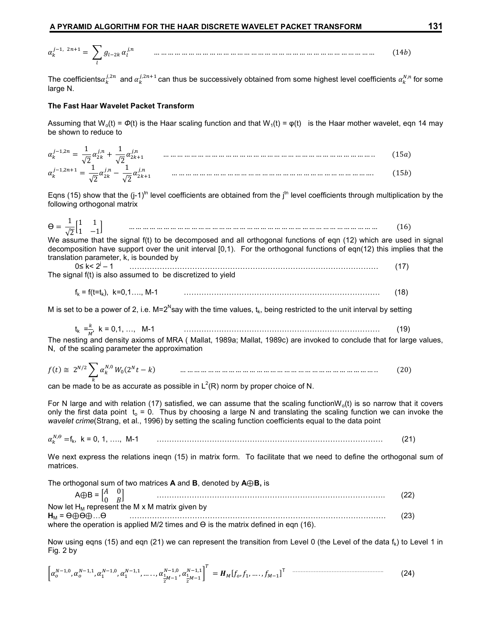<# ,78 = \$ %A#<<sup>A</sup> ,7 A … … … … … … … … … … … … … … … … … … … … … … … … … … … … … … … …141

The coefficients $\alpha_k^{j,2n}$  and  $\alpha_k^{j,2n+1}$  can thus be successively obtained from some highest level coefficients  $\alpha_k^{N,n}$  for some large N.

#### **The Fast Haar Wavelet Packet Transform**

Assuming that W<sub>o</sub>(t) =  $\Phi$ (t) is the Haar scaling function and that W<sub>1</sub>(t) =  $\phi$ (t) is the Haar mother wavelet, eqn 14 may be shown to reduce to

<# ,7 = 1 2 <# ,7 + 1 2 <#8 ,7 … … … … … … … … … … … … … … … … … … … … … … … … … … … … … … ..15. <# ,78 = 1 2 <# ,7 − 1 2 <#8 ,7 … … … … … … … … … … … … … … … … … … … … … … … … … … … … ….151

Egns (15) show that the  $(i-1)^{tn}$  level coefficients are obtained from the  $i^{tn}$  level coefficients through multiplication by the following orthogonal matrix

$$
\Theta = \frac{1}{\sqrt{2}} \begin{bmatrix} 1 & 1 \\ 1 & -1 \end{bmatrix} \tag{16}
$$

 $\sqrt{2}$ <sup>11</sup>  $-1$ <br>We assume that the signal f(t) to be decomposed and all orthogonal functions of eqn (12) which are used in signal decomposition have support over the unit interval [0,1). For the orthogonal functions of eqn(12) this implies that the translation parameter, k, is bounded by

| The signal f(t) is also assumed to be discretized to yield |  |
|------------------------------------------------------------|--|

fk = f(t=tk), k=0,1A., M-1 AAAAAAAAAAAAAAAAAAAAAAAAAA (18)

M is set to be a power of 2, i.e. M=2<sup>N</sup>say with the time values,  $t_k$ , being restricted to the unit interval by setting

$$
t_k = \frac{k}{M}
$$
,  $k = 0,1, ..., M-1$   $\dots$   $\dots$   $\dots$   $\dots$   $\dots$   $\dots$   $\dots$   $\dots$   $\dots$   $\dots$   $\dots$   $\dots$   $\dots$   $\dots$   $\dots$   $\dots$   $\dots$   $\dots$   $\dots$   $\dots$   $\dots$   $\dots$   $\dots$   $\dots$   $\dots$   $\dots$   $\dots$   $\dots$   $\dots$   $\dots$   $\dots$   $\dots$   $\dots$   $\dots$   $\dots$   $\dots$   $\dots$   $\dots$   $\dots$   $\dots$   $\dots$   $\dots$   $\dots$   $\dots$   $\dots$   $\dots$   $\dots$   $\dots$   $\dots$   $\dots$   $\dots$   $\dots$   $\dots$   $\dots$   $\dots$   $\dots$   $\dots$   $\dots$   $\dots$   $\dots$   $\dots$   $\dots$   $\dots$   $\dots$   $\dots$   $\dots$   $\dots$   $\dots$   $\dots$   $\dots$   $\dots$   $\dots$   $\dots$   $\dots$   $\dots$   $\dots$   $\dots$   $\dots$   $\dots$   $\dots$   $\dots$   $\dots$   $\dots$   $\dots$   $\dots$   $\dots$   $\dots$   $\dots$   $\dots$   $\dots$   $\dots$   $\dots$ 

N, of the scaling parameter the approximation

> ≅ 2C/\$ <# C,/ +/ 2 <sup>C</sup> − … … … … … … … … … … … … … … … … … … … … … … … … … … … … ..20

can be made to be as accurate as possible in  $\textsf{L}^2(\textsf{R})$  norm by proper choice of N.

For N large and with relation (17) satisfied, we can assume that the scaling function $W_0(t)$  is so narrow that it covers only the first data point  $t_0 = 0$ . Thus by choosing a large N and translating the scaling function we can invoke the *wavelet crime*(Strang, et al., 1996) by setting the scaling function coefficients equal to the data point

 $\alpha_k^{N,\theta} = f_k$ , k = 0, 1, ..., M-1 C,J =fk, k = 0, 1, A., M-1 AAAAAAAAAAAAAAAAAAAAAAAAAAAAAA (21)

We next express the relations ineqn (15) in matrix form. To facilitate that we need to define the orthogonal sum of matrices.

The orthogonal sum of two matrices **A** and **B**, denoted by **A**⊕**B,** is

| $A \oplus B = \begin{bmatrix} A & 0 \\ 0 & 0 \end{bmatrix}$                              | (22)  |
|------------------------------------------------------------------------------------------|-------|
| Now let $H_M$ represent the M x M matrix given by                                        |       |
| $H_M = \Theta \oplus \Theta \oplus \ldots \Theta$                                        | (23). |
| where the operation is applied M/2 times and $\Theta$ is the matrix defined in eqn (16). |       |

Now using eqns (15) and eqn (21) we can represent the transition from Level 0 (the Level of the data  $f_k$ ) to Level 1 in Fig. 2 by

$$
\left[\alpha_0^{N-1,0},\alpha_0^{N-1,1},\alpha_1^{N-1,0},\alpha_1^{N-1,1},\ldots,\alpha_{\frac{1}{2}M-1}^{N-1,0},\alpha_{\frac{1}{2}M-1}^{N-1,1}\right]^T = H_M[f_0,f_1,\ldots,f_{M-1}]^T \quad \ldots \quad \ldots \quad (24)
$$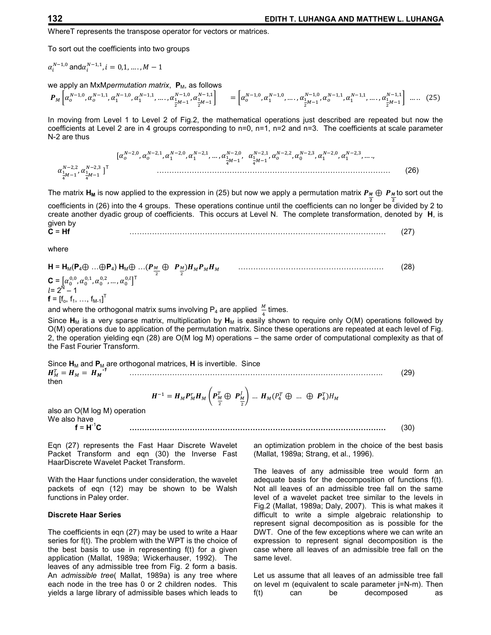WhereT represents the transpose operator for vectors or matrices.

To sort out the coefficients into two groups

$$
\alpha_i^{N-1,0} \text{ and } \alpha_i^{N-1,1}, i = 0,1, \dots, M-1
$$

we apply an MxMpermutation matrix, **P**<sub>M</sub>, as follows

$$
\boldsymbol{P}_{M}\left[\alpha_{0}^{N-1,0},\alpha_{0}^{N-1,1},\alpha_{1}^{N-1,0},\alpha_{1}^{N-1,1},\ldots,\alpha_{\frac{1}{2}M-1}^{N-1,0},\alpha_{\frac{1}{2}M-1}^{N-1,1}\right] = \left[\alpha_{0}^{N-1,0},\alpha_{1}^{N-1,0},\ldots,\alpha_{\frac{1}{2}M-1}^{N-1,0},\alpha_{0}^{N-1,1},\alpha_{1}^{N-1,1},\ldots,\alpha_{\frac{1}{2}M-1}^{N-1,1}\right] \ldots \tag{25}
$$

In moving from Level 1 to Level 2 of Fig.2, the mathematical operations just described are repeated but now the coefficients at Level 2 are in 4 groups corresponding to n=0, n=1, n=2 and n=3. The coefficients at scale parameter N-2 are thus

$$
[\alpha_0^{N-2,0}, \alpha_0^{N-2,1}, \alpha_1^{N-2,0}, \alpha_1^{N-2,1}, \dots, \alpha_{\frac{1}{4}M-1}^{N-2,0}, \alpha_0^{N-2,1}, \alpha_0^{N-2,2}, \alpha_0^{N-2,3}, \alpha_1^{N-2,0}, \alpha_1^{N-2,3}, \dots, \alpha_{\frac{1}{4}M-1}^{N-2,2}, \alpha_0^{N-2,3}, \alpha_1^{N-2,0}, \alpha_1^{N-2,3}, \dots, \alpha_{\frac{1}{4}M-1}^{N-2,2}, \alpha_1^{N-2,3}, \dots, \alpha_{\frac{1}{4}M-1}^{N-2,2}, \alpha_1^{N-2,3}, \dots, \alpha_{\frac{1}{4}M-1}^{N-2,2}, \alpha_1^{N-2,3}, \dots, \alpha_{\frac{1}{4}M-1}^{N-2,2}, \alpha_1^{N-2,3}, \alpha_1^{N-2,3}, \dots, \alpha_{\frac{1}{4}M-1}^{N-2,2}, \alpha_1^{N-2,3}, \alpha_1^{N-2,3}, \dots, \alpha_{\frac{1}{4}M-1}^{N-2,2}, \alpha_1^{N-2,3}, \alpha_1^{N-2,3}, \dots, \alpha_{\frac{1}{4}M-1}^{N-2,2}, \alpha_1^{N-2,3}, \alpha_1^{N-2,3}, \dots, \alpha_{\frac{1}{4}M-1}^{N-2,2}, \alpha_1^{N-2,3}, \alpha_1^{N-2,3}, \dots, \alpha_{\frac{1}{4}M-1}^{N-2,2}, \alpha_1^{N-2,3}, \alpha_1^{N-2,3}, \dots, \alpha_{\frac{1}{4}M-1}^{N-2,2}, \alpha_1^{N-2,3}, \alpha_1^{N-2,3}, \dots, \alpha_{\frac{1}{4}M-1}^{N-2,2}, \alpha_1^{N-2,3}, \alpha_1^{N-2,3}, \dots, \alpha_{\frac{1}{4}M-1}^{N-2,2}, \alpha_1^{N-2,3}, \alpha_1^{N-2,3}, \dots, \alpha_{\frac{1}{4}M-1}^{N-2,2}, \alpha_1^{N-2,3}, \alpha_1^{N-2,3}, \dots, \alpha_{\frac{1}{4}M
$$

The matrix  $H_M$  is now applied to the expression in (25) but now we apply a permutation matrix  $P_M \oplus P_M$  to sort out the

coefficients in (26) into the 4 groups. These operations continue until the coefficients can no longer be divided by 2 to create another dyadic group of coefficients. This occurs at Level N. The complete transformation, denoted by **H**, is given by **C** = **Hf** (27) (27)

where

$$
H = H_{M}(P_{4} \oplus ... \oplus P_{4}) H_{M} \oplus ... (P_{\frac{M}{2}} \oplus P_{\frac{M}{2}}) H_{M} P_{M} H_{M} \qquad \qquad \qquad (28)
$$
\n
$$
C = \left[ \alpha_{0}^{0,0}, \alpha_{0}^{0,1}, \alpha_{0}^{0,2}, ..., \alpha_{0}^{0,l} \right]^{T}
$$
\n
$$
l = 2^{N} - 1
$$
\n
$$
f = \left[ f_{0}, f_{1}, ..., f_{M-1} \right]^{T}
$$
\n
$$
V
$$
\n(29)

and where the orthogonal matrix sums involving  $P_4$  are applied  $\frac{M}{4}$  times.

Since  $H_M$  is a very sparse matrix, multiplication by  $H_M$  is easily shown to require only O(M) operations followed by O(M) operations due to application of the permutation matrix. Since these operations are repeated at each level of Fig. 2, the operation yielding eqn (28) are O(M log M) operations – the same order of computational complexity as that of the Fast Fourier Transform.

Since  $H_M$  and  $P_M$  are orthogonal matrices, **H** is invertible. Since  $H_M^T = H_M^T = H_M^{T-1}$  AAAAAAAAAAAAAAAAAAAAAAAAAAAAAAAAA.. (29) then

$$
\boldsymbol{H}^{-1} = \boldsymbol{H}_M \boldsymbol{P}_M^r \boldsymbol{H}_M \left( \boldsymbol{P}_{\frac{M}{2}}^T \oplus \boldsymbol{P}_{\frac{M}{2}}^J \right) \dots \boldsymbol{H}_M (P_4^T \oplus \dots \oplus \boldsymbol{P}_4^T) \boldsymbol{H}_M
$$

also an O(M log M) operation We also have  $f = H^{-1}C$ -1**C AAAAAAAAAAAAAAAAAAAAAAAAAAAAAAAAAA** (30)

Eqn (27) represents the Fast Haar Discrete Wavelet Packet Transform and eqn (30) the Inverse Fast HaarDiscrete Wavelet Packet Transform.

With the Haar functions under consideration, the wavelet packets of eqn (12) may be shown to be Walsh functions in Paley order.

## **Discrete Haar Series**

The coefficients in eqn (27) may be used to write a Haar series for f(t). The problem with the WPT is the choice of the best basis to use in representing f(t) for a given application (Mallat, 1989a; Wickerhauser, 1992). The leaves of any admissible tree from Fig. 2 form a basis. An *admissible tree*( Mallat, 1989a) is any tree where each node in the tree has 0 or 2 children nodes. This yields a large library of admissible bases which leads to an optimization problem in the choice of the best basis (Mallat, 1989a; Strang, et al., 1996).

The leaves of any admissible tree would form an adequate basis for the decomposition of functions f(t). Not all leaves of an admissible tree fall on the same level of a wavelet packet tree similar to the levels in Fig.2 (Mallat, 1989a; Daly, 2007). This is what makes it difficult to write a simple algebraic relationship to represent signal decomposition as is possible for the DWT. One of the few exceptions where we can write an expression to represent signal decomposition is the case where all leaves of an admissible tree fall on the same level.

Let us assume that all leaves of an admissible tree fall on level m (equivalent to scale parameter j=N-m). Then f(t) can be decomposed as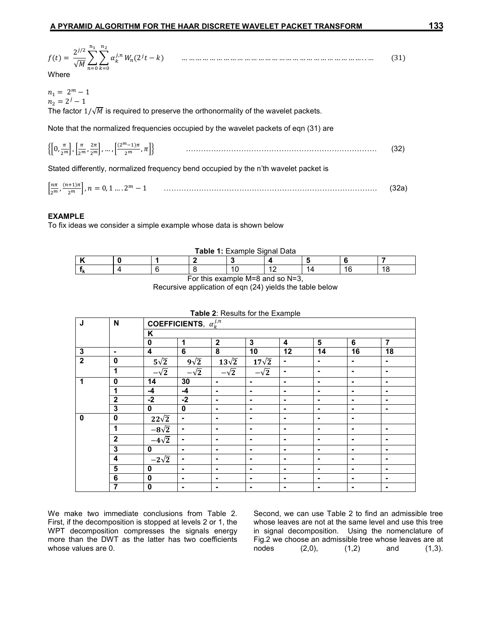> = 2 / U \$ \$ <# ,7 7 #c/ 7 7c/ +<sup>7</sup> 2 − … … … … … … … … … … … … … … … … … … … … … … … … … … . . …31

Where

$$
n_1 = 2^m - 1
$$
  
\n $n_2 = 2^j - 1$   
\nThe factor  $1/\sqrt{M}$  is required to preserve the orthonormality of the wavelet packets.

Note that the normalized frequencies occupied by the wavelet packets of eqn (31) are

$$
\left\{ \left[0, \frac{\pi}{2^m}\right], \left[\frac{\pi}{2^m}, \frac{2\pi}{2^m}\right], \dots, \left[\frac{(2^m - 1)\pi}{2^m}, \pi\right] \right\}
$$
 (32)

Stated differently, normalized frequency bend occupied by the n'th wavelet packet is

$$
\left[\frac{n\pi}{2^m}, \frac{(n+1)\pi}{2^m}\right], n = 0, 1 \dots, 2^m - 1 \tag{32a}
$$

## **EXAMPLE**

To fix ideas we consider a simple example whose data is shown below

| <b>Table 1: Example Signal Data</b>   |  |  |  |  |  |  |    |     |
|---------------------------------------|--|--|--|--|--|--|----|-----|
|                                       |  |  |  |  |  |  |    |     |
|                                       |  |  |  |  |  |  | 16 | 1 O |
| For this example $M=8$ and so $N=3$ . |  |  |  |  |  |  |    |     |

Recursive application of eqn (24) yields the table below

| J              | N                    | COEFFICIENTS, $\alpha_k^{j,n}$ |                |                |                |                |                |                |                          |  |
|----------------|----------------------|--------------------------------|----------------|----------------|----------------|----------------|----------------|----------------|--------------------------|--|
|                |                      | Κ                              |                |                |                |                |                |                |                          |  |
|                |                      | 0                              | 1              | $\overline{2}$ | $\mathbf{3}$   | 4              | 5              | 6              | $\overline{7}$           |  |
| $\mathbf 3$    | $\blacksquare$       | 4                              | 6              | 8              | 10             | 12             | 14             | 16             | 18                       |  |
| $\overline{2}$ | $\mathbf 0$          | $5\sqrt{2}$                    | $9\sqrt{2}$    | $13\sqrt{2}$   | $17\sqrt{2}$   | ٠              | $\blacksquare$ | ۰              | $\blacksquare$           |  |
|                | $\blacktriangleleft$ | $-\sqrt{2}$                    | $-\sqrt{2}$    | $-\sqrt{2}$    | $-\sqrt{2}$    | ٠              | $\blacksquare$ | ۰              | $\overline{\phantom{a}}$ |  |
| 1              | $\mathbf 0$          | 14                             | 30             | $\blacksquare$ | $\blacksquare$ | $\blacksquare$ | $\blacksquare$ | ۰              | $\blacksquare$           |  |
|                | 1                    | $-4$                           | $-4$           | ٠              | $\blacksquare$ | $\blacksquare$ | ٠              | $\blacksquare$ | ٠                        |  |
|                | $\overline{2}$       | $-2$                           | $-2$           | $\blacksquare$ | $\blacksquare$ | $\blacksquare$ | $\blacksquare$ | $\blacksquare$ | $\blacksquare$           |  |
|                | $\overline{3}$       | 0                              | $\mathbf 0$    | $\blacksquare$ | $\blacksquare$ | ٠              | ٠              | ۰              | ٠                        |  |
| $\mathbf 0$    | $\mathbf{0}$         | $22\sqrt{2}$                   | ٠              | ٠              | ٠              | ٠              | $\blacksquare$ | $\blacksquare$ |                          |  |
|                | $\mathbf 1$          | $-8\sqrt{2}$                   | $\blacksquare$ | $\blacksquare$ | $\blacksquare$ | $\blacksquare$ | $\blacksquare$ | ۰              | $\blacksquare$           |  |
|                | $\overline{2}$       | $-4\sqrt{2}$                   | $\blacksquare$ | $\blacksquare$ | $\blacksquare$ | $\blacksquare$ | $\blacksquare$ | $\blacksquare$ | ٠                        |  |
|                | 3                    | 0                              | $\blacksquare$ | ٠              | ٠              | ٠              | $\blacksquare$ | $\blacksquare$ | ٠                        |  |
|                | 4                    | $-2\sqrt{2}$                   |                | ۰              | $\blacksquare$ | $\blacksquare$ | $\blacksquare$ | $\blacksquare$ | $\blacksquare$           |  |
|                | 5                    | 0                              | $\blacksquare$ | ٠              | ٠              | ٠              | $\blacksquare$ | ۰              | ٠                        |  |
|                | 6                    | 0                              | ٠              | ۰              | $\blacksquare$ | $\blacksquare$ | $\blacksquare$ | ۰              | ٠                        |  |
|                | $\overline{7}$       | 0                              | ۰              |                |                | $\blacksquare$ |                |                | $\blacksquare$           |  |

| Table 2: Results for the Example |  |  |
|----------------------------------|--|--|
|----------------------------------|--|--|

We make two immediate conclusions from Table 2. First, if the decomposition is stopped at levels 2 or 1, the WPT decomposition compresses the signals energy more than the DWT as the latter has two coefficients whose values are 0.

Second, we can use Table 2 to find an admissible tree whose leaves are not at the same level and use this tree in signal decomposition. Using the nomenclature of Fig.2 we choose an admissible tree whose leaves are at nodes (2,0), (1,2) and (1,3).